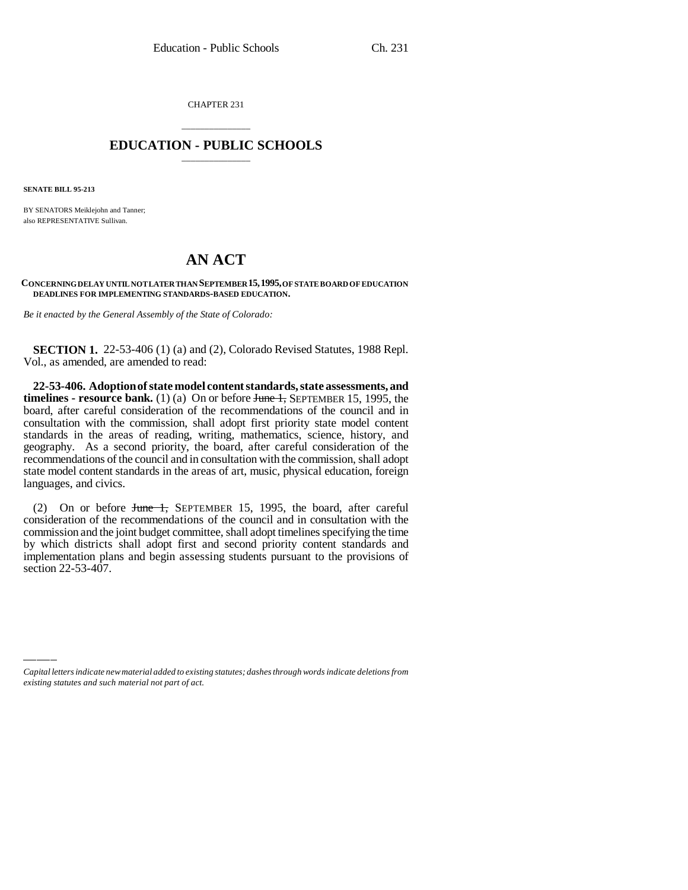CHAPTER 231

## \_\_\_\_\_\_\_\_\_\_\_\_\_\_\_ **EDUCATION - PUBLIC SCHOOLS** \_\_\_\_\_\_\_\_\_\_\_\_\_\_\_

**SENATE BILL 95-213**

BY SENATORS Meiklejohn and Tanner; also REPRESENTATIVE Sullivan.

## **AN ACT**

## **CONCERNING DELAY UNTIL NOT LATER THAN SEPTEMBER 15,1995, OF STATE BOARD OF EDUCATION DEADLINES FOR IMPLEMENTING STANDARDS-BASED EDUCATION.**

*Be it enacted by the General Assembly of the State of Colorado:*

**SECTION 1.** 22-53-406 (1) (a) and (2), Colorado Revised Statutes, 1988 Repl. Vol., as amended, are amended to read:

**22-53-406. Adoption of state model content standards, state assessments, and timelines - resource bank.** (1) (a) On or before June 1, SEPTEMBER 15, 1995, the board, after careful consideration of the recommendations of the council and in consultation with the commission, shall adopt first priority state model content standards in the areas of reading, writing, mathematics, science, history, and geography. As a second priority, the board, after careful consideration of the recommendations of the council and in consultation with the commission, shall adopt state model content standards in the areas of art, music, physical education, foreign languages, and civics.

section 22-53-407.(2) On or before June 1, SEPTEMBER 15, 1995, the board, after careful consideration of the recommendations of the council and in consultation with the commission and the joint budget committee, shall adopt timelines specifying the time by which districts shall adopt first and second priority content standards and implementation plans and begin assessing students pursuant to the provisions of

*Capital letters indicate new material added to existing statutes; dashes through words indicate deletions from existing statutes and such material not part of act.*